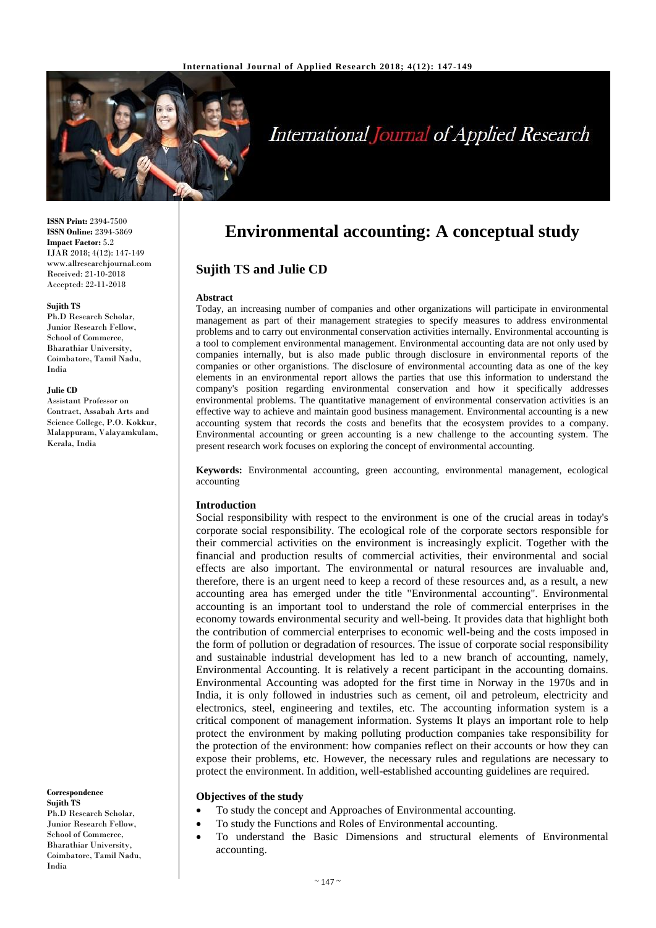

# **International Journal of Applied Research**

**ISSN Print:** 2394-7500 **ISSN Online:** 2394-5869 **Impact Factor:** 5.2 IJAR 2018; 4(12): 147-149 www.allresearchjournal.com Received: 21-10-2018 Accepted: 22-11-2018

#### **Sujith TS**

Ph.D Research Scholar, Junior Research Fellow, School of Commerce, Bharathiar University, Coimbatore, Tamil Nadu, India

#### **Julie CD**

Assistant Professor on Contract, Assabah Arts and Science College, P.O. Kokkur, Malappuram, Valayamkulam, Kerala, India

**Correspondence Sujith TS** Ph.D Research Scholar, Junior Research Fellow, School of Commerce, Bharathiar University, Coimbatore, Tamil Nadu, India

# **Environmental accounting: A conceptual study**

# **Sujith TS and Julie CD**

#### **Abstract**

Today, an increasing number of companies and other organizations will participate in environmental management as part of their management strategies to specify measures to address environmental problems and to carry out environmental conservation activities internally. Environmental accounting is a tool to complement environmental management. Environmental accounting data are not only used by companies internally, but is also made public through disclosure in environmental reports of the companies or other organistions. The disclosure of environmental accounting data as one of the key elements in an environmental report allows the parties that use this information to understand the company's position regarding environmental conservation and how it specifically addresses environmental problems. The quantitative management of environmental conservation activities is an effective way to achieve and maintain good business management. Environmental accounting is a new accounting system that records the costs and benefits that the ecosystem provides to a company. Environmental accounting or green accounting is a new challenge to the accounting system. The present research work focuses on exploring the concept of environmental accounting.

**Keywords:** Environmental accounting, green accounting, environmental management, ecological accounting

# **Introduction**

Social responsibility with respect to the environment is one of the crucial areas in today's corporate social responsibility. The ecological role of the corporate sectors responsible for their commercial activities on the environment is increasingly explicit. Together with the financial and production results of commercial activities, their environmental and social effects are also important. The environmental or natural resources are invaluable and, therefore, there is an urgent need to keep a record of these resources and, as a result, a new accounting area has emerged under the title "Environmental accounting". Environmental accounting is an important tool to understand the role of commercial enterprises in the economy towards environmental security and well-being. It provides data that highlight both the contribution of commercial enterprises to economic well-being and the costs imposed in the form of pollution or degradation of resources. The issue of corporate social responsibility and sustainable industrial development has led to a new branch of accounting, namely, Environmental Accounting. It is relatively a recent participant in the accounting domains. Environmental Accounting was adopted for the first time in Norway in the 1970s and in India, it is only followed in industries such as cement, oil and petroleum, electricity and electronics, steel, engineering and textiles, etc. The accounting information system is a critical component of management information. Systems It plays an important role to help protect the environment by making polluting production companies take responsibility for the protection of the environment: how companies reflect on their accounts or how they can expose their problems, etc. However, the necessary rules and regulations are necessary to protect the environment. In addition, well-established accounting guidelines are required.

#### **Objectives of the study**

- To study the concept and Approaches of Environmental accounting.
- To study the Functions and Roles of Environmental accounting.
- To understand the Basic Dimensions and structural elements of Environmental accounting.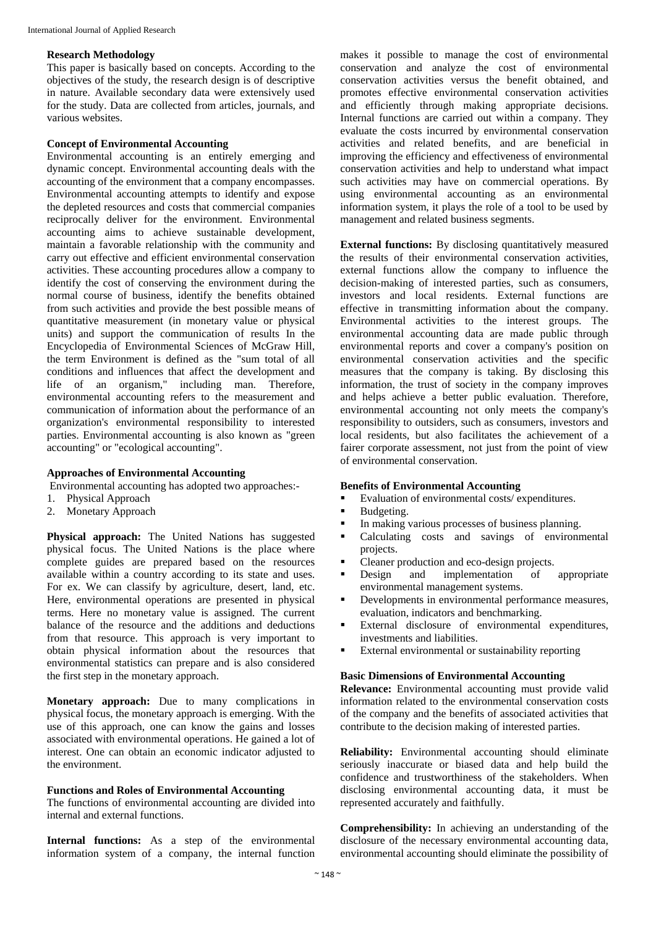## **Research Methodology**

This paper is basically based on concepts. According to the objectives of the study, the research design is of descriptive in nature. Available secondary data were extensively used for the study. Data are collected from articles, journals, and various websites.

## **Concept of Environmental Accounting**

Environmental accounting is an entirely emerging and dynamic concept. Environmental accounting deals with the accounting of the environment that a company encompasses. Environmental accounting attempts to identify and expose the depleted resources and costs that commercial companies reciprocally deliver for the environment. Environmental accounting aims to achieve sustainable development, maintain a favorable relationship with the community and carry out effective and efficient environmental conservation activities. These accounting procedures allow a company to identify the cost of conserving the environment during the normal course of business, identify the benefits obtained from such activities and provide the best possible means of quantitative measurement (in monetary value or physical units) and support the communication of results In the Encyclopedia of Environmental Sciences of McGraw Hill, the term Environment is defined as the "sum total of all conditions and influences that affect the development and life of an organism," including man. Therefore, environmental accounting refers to the measurement and communication of information about the performance of an organization's environmental responsibility to interested parties. Environmental accounting is also known as "green accounting" or "ecological accounting".

# **Approaches of Environmental Accounting**

Environmental accounting has adopted two approaches:-

- 1. Physical Approach
- 2. Monetary Approach

**Physical approach:** The United Nations has suggested physical focus. The United Nations is the place where complete guides are prepared based on the resources available within a country according to its state and uses. For ex. We can classify by agriculture, desert, land, etc. Here, environmental operations are presented in physical terms. Here no monetary value is assigned. The current balance of the resource and the additions and deductions from that resource. This approach is very important to obtain physical information about the resources that environmental statistics can prepare and is also considered the first step in the monetary approach.

**Monetary approach:** Due to many complications in physical focus, the monetary approach is emerging. With the use of this approach, one can know the gains and losses associated with environmental operations. He gained a lot of interest. One can obtain an economic indicator adjusted to the environment.

#### **Functions and Roles of Environmental Accounting**

The functions of environmental accounting are divided into internal and external functions.

Internal functions: As a step of the environmental information system of a company, the internal function

makes it possible to manage the cost of environmental conservation and analyze the cost of environmental conservation activities versus the benefit obtained, and promotes effective environmental conservation activities and efficiently through making appropriate decisions. Internal functions are carried out within a company. They evaluate the costs incurred by environmental conservation activities and related benefits, and are beneficial in improving the efficiency and effectiveness of environmental conservation activities and help to understand what impact such activities may have on commercial operations. By using environmental accounting as an environmental information system, it plays the role of a tool to be used by management and related business segments.

**External functions:** By disclosing quantitatively measured the results of their environmental conservation activities, external functions allow the company to influence the decision-making of interested parties, such as consumers, investors and local residents. External functions are effective in transmitting information about the company. Environmental activities to the interest groups. The environmental accounting data are made public through environmental reports and cover a company's position on environmental conservation activities and the specific measures that the company is taking. By disclosing this information, the trust of society in the company improves and helps achieve a better public evaluation. Therefore, environmental accounting not only meets the company's responsibility to outsiders, such as consumers, investors and local residents, but also facilitates the achievement of a fairer corporate assessment, not just from the point of view of environmental conservation.

#### **Benefits of Environmental Accounting**

- Evaluation of environmental costs/ expenditures.
- Budgeting.
- In making various processes of business planning.
- Calculating costs and savings of environmental projects.
- Cleaner production and eco-design projects.
- Design and implementation of appropriate environmental management systems.
- Developments in environmental performance measures, evaluation, indicators and benchmarking.
- External disclosure of environmental expenditures, investments and liabilities.
- External environmental or sustainability reporting

#### **Basic Dimensions of Environmental Accounting**

**Relevance:** Environmental accounting must provide valid information related to the environmental conservation costs of the company and the benefits of associated activities that contribute to the decision making of interested parties.

**Reliability:** Environmental accounting should eliminate seriously inaccurate or biased data and help build the confidence and trustworthiness of the stakeholders. When disclosing environmental accounting data, it must be represented accurately and faithfully.

**Comprehensibility:** In achieving an understanding of the disclosure of the necessary environmental accounting data, environmental accounting should eliminate the possibility of